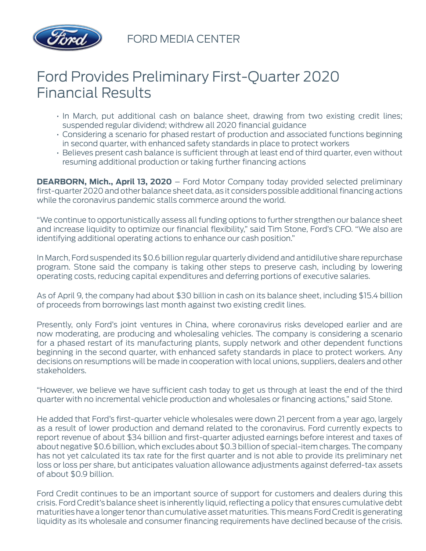

FORD MEDIA CENTER

## Ford Provides Preliminary First-Quarter 2020 Financial Results

- In March, put additional cash on balance sheet, drawing from two existing credit lines; suspended regular dividend; withdrew all 2020 financial guidance
- Considering a scenario for phased restart of production and associated functions beginning in second quarter, with enhanced safety standards in place to protect workers
- Believes present cash balance is sufficient through at least end of third quarter, even without resuming additional production or taking further financing actions

**DEARBORN, Mich., April 13, 2020** – Ford Motor Company today provided selected preliminary first-quarter 2020 and other balance sheet data, as it considers possible additional financing actions while the coronavirus pandemic stalls commerce around the world.

"We continue to opportunistically assess all funding options to further strengthen our balance sheet and increase liquidity to optimize our financial flexibility," said Tim Stone, Ford's CFO. "We also are identifying additional operating actions to enhance our cash position."

In March, Ford suspended its \$0.6 billion regular quarterly dividend and antidilutive share repurchase program. Stone said the company is taking other steps to preserve cash, including by lowering operating costs, reducing capital expenditures and deferring portions of executive salaries.

As of April 9, the company had about \$30 billion in cash on its balance sheet, including \$15.4 billion of proceeds from borrowings last month against two existing credit lines.

Presently, only Ford's joint ventures in China, where coronavirus risks developed earlier and are now moderating, are producing and wholesaling vehicles. The company is considering a scenario for a phased restart of its manufacturing plants, supply network and other dependent functions beginning in the second quarter, with enhanced safety standards in place to protect workers. Any decisions on resumptions will be made in cooperation with local unions, suppliers, dealers and other stakeholders.

"However, we believe we have sufficient cash today to get us through at least the end of the third quarter with no incremental vehicle production and wholesales or financing actions," said Stone.

He added that Ford's first-quarter vehicle wholesales were down 21 percent from a year ago, largely as a result of lower production and demand related to the coronavirus. Ford currently expects to report revenue of about \$34 billion and first-quarter adjusted earnings before interest and taxes of about negative \$0.6 billion, which excludes about \$0.3 billion of special-item charges. The company has not yet calculated its tax rate for the first quarter and is not able to provide its preliminary net loss or loss per share, but anticipates valuation allowance adjustments against deferred-tax assets of about \$0.9 billion.

Ford Credit continues to be an important source of support for customers and dealers during this crisis. Ford Credit's balance sheet is inherently liquid, reflecting a policy that ensures cumulative debt maturities have a longer tenor than cumulative asset maturities. This means Ford Credit is generating liquidity as its wholesale and consumer financing requirements have declined because of the crisis.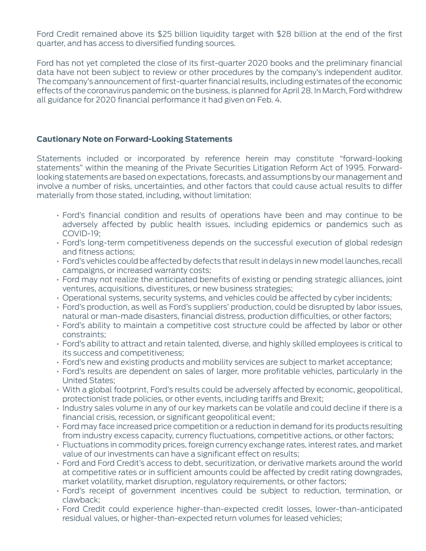Ford Credit remained above its \$25 billion liquidity target with \$28 billion at the end of the first quarter, and has access to diversified funding sources.

Ford has not yet completed the close of its first-quarter 2020 books and the preliminary financial data have not been subject to review or other procedures by the company's independent auditor. The company's announcement of first-quarter financial results, including estimates of the economic effects of the coronavirus pandemic on the business, is planned for April 28. In March, Ford withdrew all guidance for 2020 financial performance it had given on Feb. 4.

## **Cautionary Note on Forward-Looking Statements**

Statements included or incorporated by reference herein may constitute "forward-looking statements" within the meaning of the Private Securities Litigation Reform Act of 1995. Forwardlooking statements are based on expectations, forecasts, and assumptions by our management and involve a number of risks, uncertainties, and other factors that could cause actual results to differ materially from those stated, including, without limitation:

- Ford's financial condition and results of operations have been and may continue to be adversely affected by public health issues, including epidemics or pandemics such as COVID-19;
- Ford's long-term competitiveness depends on the successful execution of global redesign and fitness actions;
- Ford's vehicles could be affected by defects that result in delays in new model launches, recall campaigns, or increased warranty costs;
- Ford may not realize the anticipated benefits of existing or pending strategic alliances, joint ventures, acquisitions, divestitures, or new business strategies;
- Operational systems, security systems, and vehicles could be affected by cyber incidents;
- Ford's production, as well as Ford's suppliers' production, could be disrupted by labor issues, natural or man-made disasters, financial distress, production difficulties, or other factors;
- Ford's ability to maintain a competitive cost structure could be affected by labor or other constraints;
- Ford's ability to attract and retain talented, diverse, and highly skilled employees is critical to its success and competitiveness;
- Ford's new and existing products and mobility services are subject to market acceptance;
- Ford's results are dependent on sales of larger, more profitable vehicles, particularly in the United States;
- With a global footprint, Ford's results could be adversely affected by economic, geopolitical, protectionist trade policies, or other events, including tariffs and Brexit;
- Industry sales volume in any of our key markets can be volatile and could decline if there is a financial crisis, recession, or significant geopolitical event;
- Ford may face increased price competition or a reduction in demand for its products resulting from industry excess capacity, currency fluctuations, competitive actions, or other factors;
- Fluctuations in commodity prices, foreign currency exchange rates, interest rates, and market value of our investments can have a significant effect on results;
- Ford and Ford Credit's access to debt, securitization, or derivative markets around the world at competitive rates or in sufficient amounts could be affected by credit rating downgrades, market volatility, market disruption, regulatory requirements, or other factors;
- Ford's receipt of government incentives could be subject to reduction, termination, or clawback;
- Ford Credit could experience higher-than-expected credit losses, lower-than-anticipated residual values, or higher-than-expected return volumes for leased vehicles;